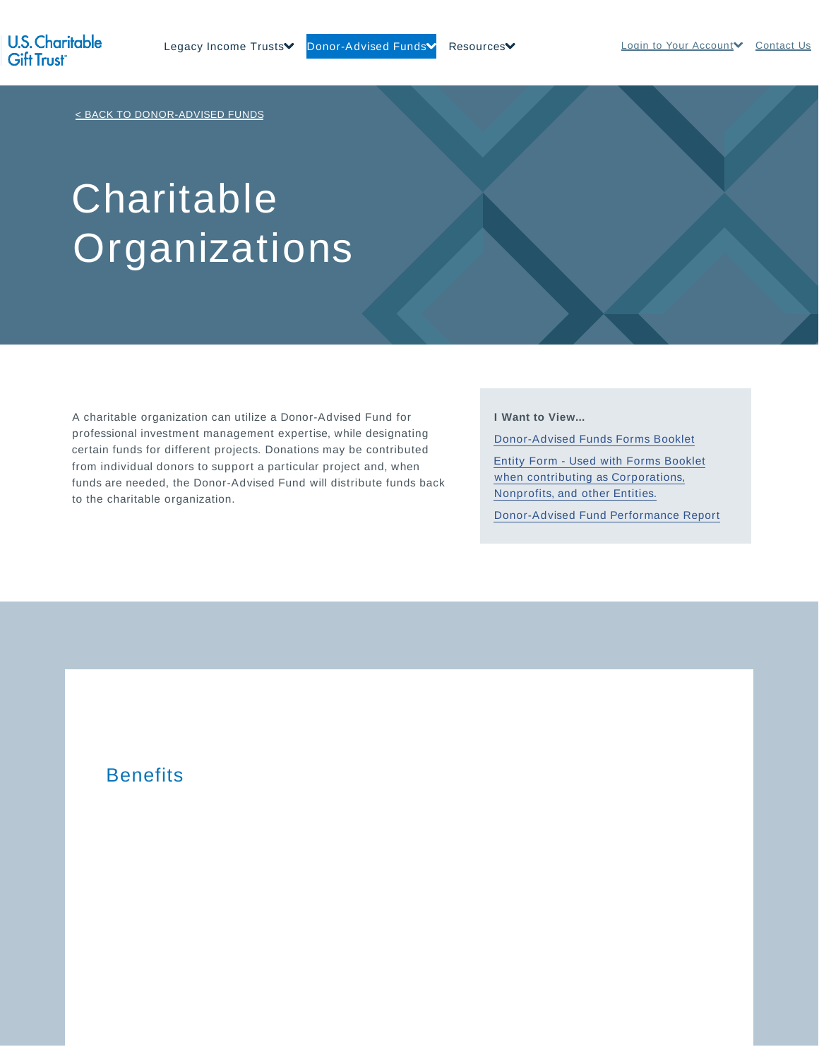< BACK TO DONOR-ADVISED FUNDS

# Charitable Organizations

A charitable organization can utilize a Donor-Advised Fund for professional investment management expertise, while designating certain funds for different projects. Donations may be contributed from individual donors to support a particular project and, when funds are needed, the Donor-Advised Fund will distribute funds back to the charitable organization.

### **I Want to View...**

Donor-Advised Funds Forms Booklet

Entity Form - Used with Forms Booklet when contributing as Corporations, Nonprofits, and other Entities.

Donor-Advised Fund Performance Report

## **Benefits**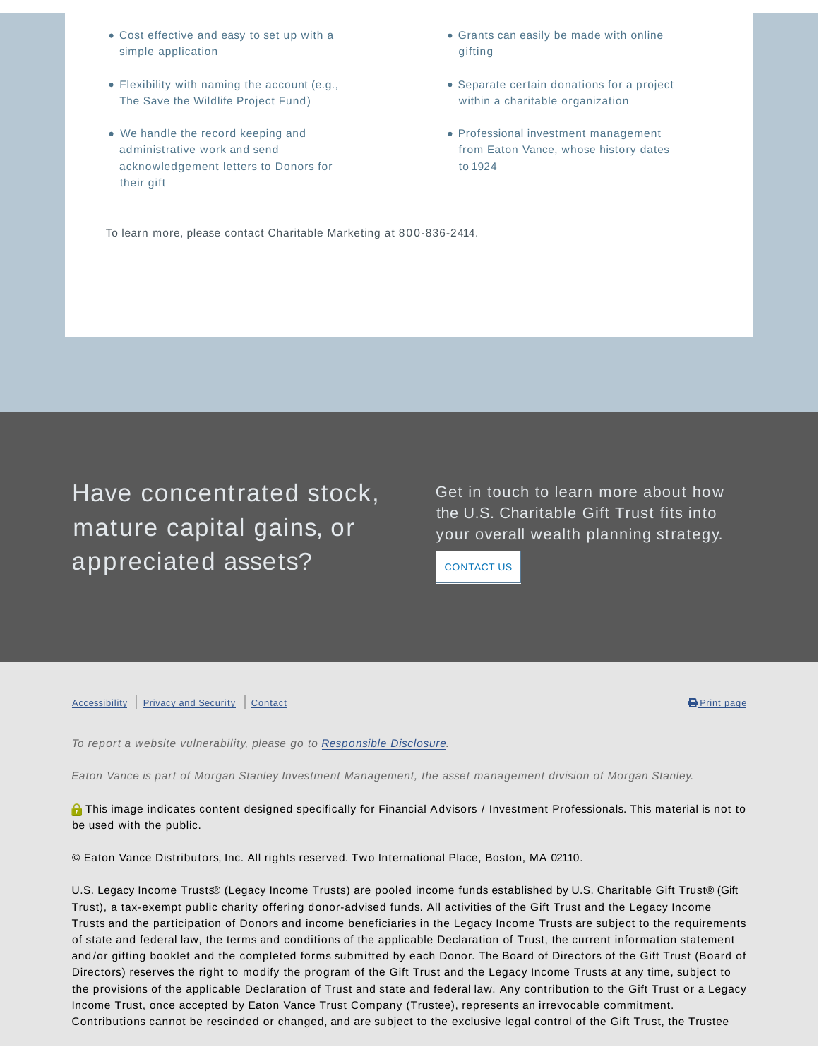- Cost effective and easy to set up with a simple application
- Flexibility with naming the account (e.g., The Save the Wildlife Project Fund)
- We handle the record keeping and administrative work and send acknowledgement letters to Donors for their gift
- Grants can easily be made with online gifting
- Separate certain donations for a project within a charitable organization
- Professional investment management from Eaton Vance, whose history dates to 1924

To learn more, please contact Charitable Marketing at 800-836-2414.

Have concentrated stock, mature capital gains, or appreciated assets?

Get in touch to learn more about how the U.S. Charitable Gift Trust fits into your overall wealth planning strategy.

CONTACT US

#### Accessibility Privacy and Security Contact **Contact Contact Contact Contact Contact Contact Contact Contact Contact** Print page



To report a website vulnerability, please go to Responsible Disclosure.

Eaton Vance is part of Morgan Stanley Investment Management, the asset management division of Morgan Stanley.

**O** This image indicates content designed specifically for Financial Advisors / Investment Professionals. This material is not to be used with the public.

© Eaton Vance Distributors, Inc. All rights reserved. Two International Place, Boston, MA 02110.

U.S. Legacy Income Trusts® (Legacy Income Trusts) are pooled income funds established by U.S. Charitable Gift Trust® (Gift Trust), a tax-exempt public charity offering donor-advised funds. All activities of the Gift Trust and the Legacy Income Trusts and the participation of Donors and income beneficiaries in the Legacy Income Trusts are subject to the requirements of state and federal law, the terms and conditions of the applicable Declaration of Trust, the current information statement and /or gifting booklet and the completed forms submitted by each Donor. The Board of Directors of the Gift Trust (Board of Directors) reserves the right to modify the program of the Gift Trust and the Legacy Income Trusts at any time, subject to the provisions of the applicable Declaration of Trust and state and federal law. Any contribution to the Gift Trust or a Legacy Income Trust, once accepted by Eaton Vance Trust Company (Trustee), represents an irrevocable commitment. Contributions cannot be rescinded or changed, and are subject to the exclusive legal control of the Gift Trust, the Trustee